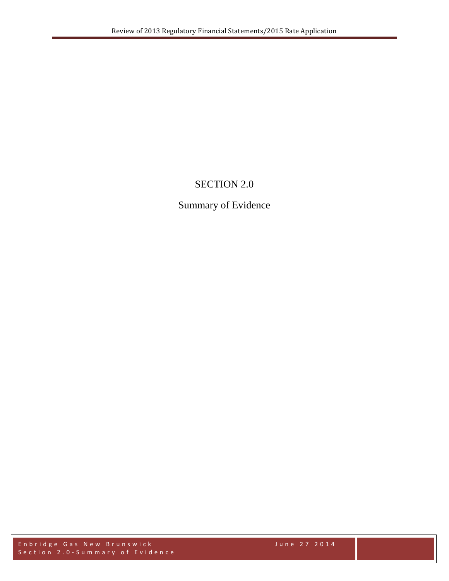# SECTION 2.0

# Summary of Evidence

Enbridge Gas New Brunswick June 27 201 4 Section 2.0 - Summary of Evidence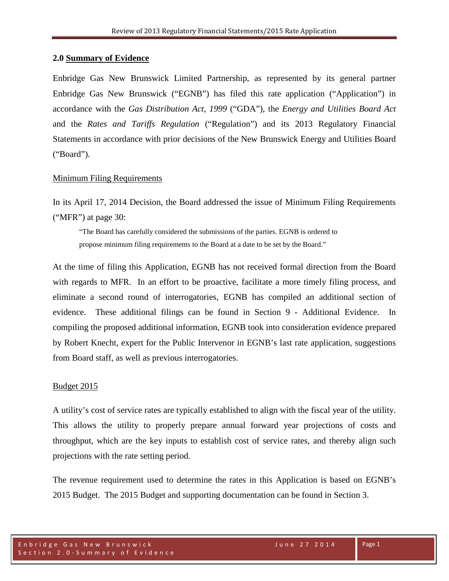### **2.0 Summary of Evidence**

Enbridge Gas New Brunswick Limited Partnership, as represented by its general partner Enbridge Gas New Brunswick ("EGNB") has filed this rate application ("Application") in accordance with the *Gas Distribution Act, 1999* ("GDA"), the *Energy and Utilities Board Act* and the *Rates and Tariffs Regulation* ("Regulation") and its 2013 Regulatory Financial Statements in accordance with prior decisions of the New Brunswick Energy and Utilities Board ("Board")*.* 

# Minimum Filing Requirements

In its April 17, 2014 Decision, the Board addressed the issue of Minimum Filing Requirements ("MFR") at page 30:

"The Board has carefully considered the submissions of the parties. EGNB is ordered to propose minimum filing requirements to the Board at a date to be set by the Board."

At the time of filing this Application, EGNB has not received formal direction from the Board with regards to MFR. In an effort to be proactive, facilitate a more timely filing process, and eliminate a second round of interrogatories, EGNB has compiled an additional section of evidence. These additional filings can be found in Section 9 - Additional Evidence. In compiling the proposed additional information, EGNB took into consideration evidence prepared by Robert Knecht, expert for the Public Intervenor in EGNB's last rate application, suggestions from Board staff, as well as previous interrogatories.

#### Budget 2015

A utility's cost of service rates are typically established to align with the fiscal year of the utility. This allows the utility to properly prepare annual forward year projections of costs and throughput, which are the key inputs to establish cost of service rates, and thereby align such projections with the rate setting period.

The revenue requirement used to determine the rates in this Application is based on EGNB's 2015 Budget. The 2015 Budget and supporting documentation can be found in Section 3.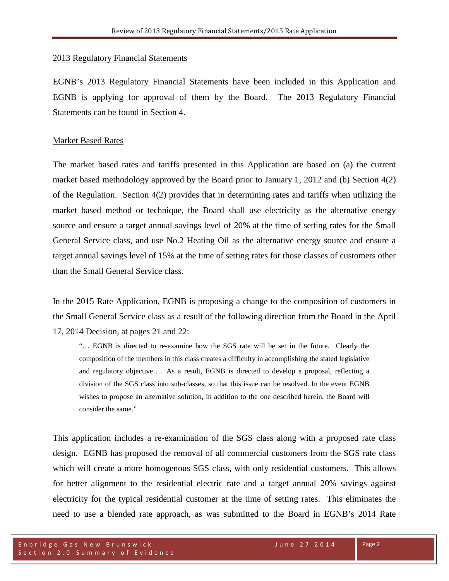#### 2013 Regulatory Financial Statements

EGNB's 2013 Regulatory Financial Statements have been included in this Application and EGNB is applying for approval of them by the Board. The 2013 Regulatory Financial Statements can be found in Section 4.

#### Market Based Rates

The market based rates and tariffs presented in this Application are based on (a) the current market based methodology approved by the Board prior to January 1, 2012 and (b) Section 4(2) of the Regulation. Section 4(2) provides that in determining rates and tariffs when utilizing the market based method or technique, the Board shall use electricity as the alternative energy source and ensure a target annual savings level of 20% at the time of setting rates for the Small General Service class, and use No.2 Heating Oil as the alternative energy source and ensure a target annual savings level of 15% at the time of setting rates for those classes of customers other than the Small General Service class.

In the 2015 Rate Application, EGNB is proposing a change to the composition of customers in the Small General Service class as a result of the following direction from the Board in the April 17, 2014 Decision, at pages 21 and 22:

"… EGNB is directed to re-examine how the SGS rate will be set in the future. Clearly the composition of the members in this class creates a difficulty in accomplishing the stated legislative and regulatory objective…. As a result, EGNB is directed to develop a proposal, reflecting a division of the SGS class into sub-classes, so that this issue can be resolved. In the event EGNB wishes to propose an alternative solution, in addition to the one described herein, the Board will consider the same."

This application includes a re-examination of the SGS class along with a proposed rate class design. EGNB has proposed the removal of all commercial customers from the SGS rate class which will create a more homogenous SGS class, with only residential customers. This allows for better alignment to the residential electric rate and a target annual 20% savings against electricity for the typical residential customer at the time of setting rates. This eliminates the need to use a blended rate approach, as was submitted to the Board in EGNB's 2014 Rate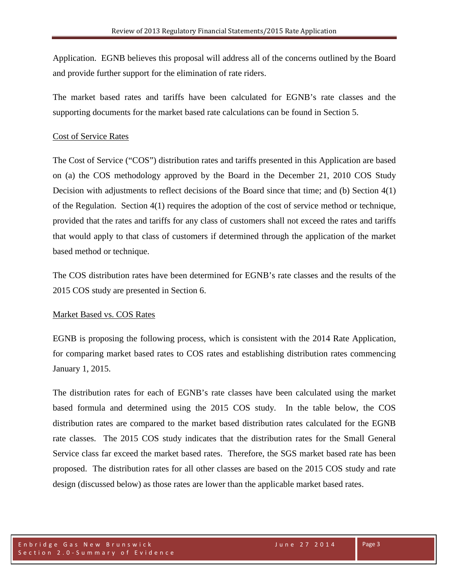Application. EGNB believes this proposal will address all of the concerns outlined by the Board and provide further support for the elimination of rate riders.

The market based rates and tariffs have been calculated for EGNB's rate classes and the supporting documents for the market based rate calculations can be found in Section 5.

#### Cost of Service Rates

The Cost of Service ("COS") distribution rates and tariffs presented in this Application are based on (a) the COS methodology approved by the Board in the December 21, 2010 COS Study Decision with adjustments to reflect decisions of the Board since that time; and (b) Section 4(1) of the Regulation. Section 4(1) requires the adoption of the cost of service method or technique, provided that the rates and tariffs for any class of customers shall not exceed the rates and tariffs that would apply to that class of customers if determined through the application of the market based method or technique.

The COS distribution rates have been determined for EGNB's rate classes and the results of the 2015 COS study are presented in Section 6.

# Market Based vs. COS Rates

EGNB is proposing the following process, which is consistent with the 2014 Rate Application, for comparing market based rates to COS rates and establishing distribution rates commencing January 1, 2015.

The distribution rates for each of EGNB's rate classes have been calculated using the market based formula and determined using the 2015 COS study. In the table below, the COS distribution rates are compared to the market based distribution rates calculated for the EGNB rate classes. The 2015 COS study indicates that the distribution rates for the Small General Service class far exceed the market based rates. Therefore, the SGS market based rate has been proposed. The distribution rates for all other classes are based on the 2015 COS study and rate design (discussed below) as those rates are lower than the applicable market based rates.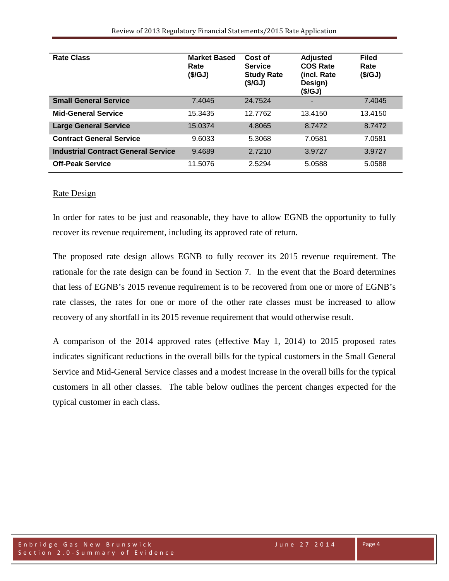| <b>Rate Class</b>                          | <b>Market Based</b><br>Rate<br>(\$/GJ) | Cost of<br><b>Service</b><br><b>Study Rate</b><br>(S/GJ) | <b>Adjusted</b><br><b>COS Rate</b><br>(incl. Rate<br>Design)<br>(\$/GJ) | <b>Filed</b><br>Rate<br>(\$/GJ) |
|--------------------------------------------|----------------------------------------|----------------------------------------------------------|-------------------------------------------------------------------------|---------------------------------|
| <b>Small General Service</b>               | 7.4045                                 | 24.7524                                                  |                                                                         | 7.4045                          |
| <b>Mid-General Service</b>                 | 15.3435                                | 12.7762                                                  | 13.4150                                                                 | 13.4150                         |
| <b>Large General Service</b>               | 15.0374                                | 4.8065                                                   | 8.7472                                                                  | 8.7472                          |
| <b>Contract General Service</b>            | 9.6033                                 | 5.3068                                                   | 7.0581                                                                  | 7.0581                          |
| <b>Industrial Contract General Service</b> | 9.4689                                 | 2.7210                                                   | 3.9727                                                                  | 3.9727                          |
| <b>Off-Peak Service</b>                    | 11.5076                                | 2.5294                                                   | 5.0588                                                                  | 5.0588                          |

#### Rate Design

In order for rates to be just and reasonable, they have to allow EGNB the opportunity to fully recover its revenue requirement, including its approved rate of return.

The proposed rate design allows EGNB to fully recover its 2015 revenue requirement. The rationale for the rate design can be found in Section 7. In the event that the Board determines that less of EGNB's 2015 revenue requirement is to be recovered from one or more of EGNB's rate classes, the rates for one or more of the other rate classes must be increased to allow recovery of any shortfall in its 2015 revenue requirement that would otherwise result.

A comparison of the 2014 approved rates (effective May 1, 2014) to 2015 proposed rates indicates significant reductions in the overall bills for the typical customers in the Small General Service and Mid-General Service classes and a modest increase in the overall bills for the typical customers in all other classes. The table below outlines the percent changes expected for the typical customer in each class.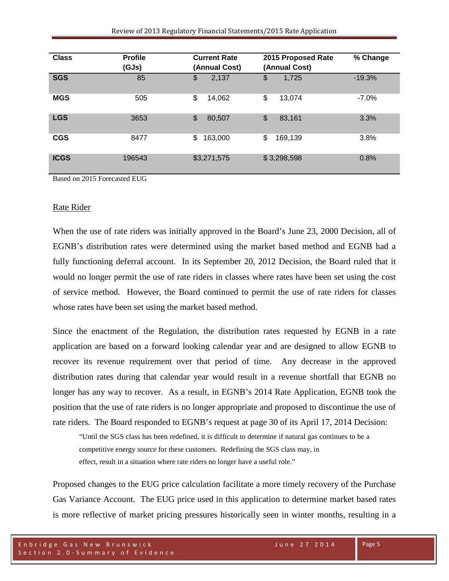| <b>Class</b> | <b>Profile</b><br>(GJs) | <b>Current Rate</b><br>(Annual Cost) | 2015 Proposed Rate<br>(Annual Cost) | % Change |
|--------------|-------------------------|--------------------------------------|-------------------------------------|----------|
| <b>SGS</b>   | 85                      | 2,137<br>\$                          | \$<br>1,725                         | $-19.3%$ |
| <b>MGS</b>   | 505                     | \$<br>14,062                         | \$<br>13,074                        | $-7.0%$  |
| <b>LGS</b>   | 3653                    | \$<br>80,507                         | \$<br>83,161                        | 3.3%     |
| <b>CGS</b>   | 8477                    | \$<br>163,000                        | \$<br>169,139                       | 3.8%     |
| <b>ICGS</b>  | 196543                  | \$3,271,575                          | \$3,298,598                         | 0.8%     |

Based on 2015 Forecasted EUG

#### Rate Rider

When the use of rate riders was initially approved in the Board's June 23, 2000 Decision, all of EGNB's distribution rates were determined using the market based method and EGNB had a fully functioning deferral account. In its September 20, 2012 Decision, the Board ruled that it would no longer permit the use of rate riders in classes where rates have been set using the cost of service method. However, the Board continued to permit the use of rate riders for classes whose rates have been set using the market based method.

Since the enactment of the Regulation, the distribution rates requested by EGNB in a rate application are based on a forward looking calendar year and are designed to allow EGNB to recover its revenue requirement over that period of time. Any decrease in the approved distribution rates during that calendar year would result in a revenue shortfall that EGNB no longer has any way to recover. As a result, in EGNB's 2014 Rate Application, EGNB took the position that the use of rate riders is no longer appropriate and proposed to discontinue the use of rate riders. The Board responded to EGNB's request at page 30 of its April 17, 2014 Decision:

"Until the SGS class has been redefined, it is difficult to determine if natural gas continues to be a competitive energy source for these customers. Redefining the SGS class may, in effect, result in a situation where rate riders no longer have a useful role."

Proposed changes to the EUG price calculation facilitate a more timely recovery of the Purchase Gas Variance Account. The EUG price used in this application to determine market based rates is more reflective of market pricing pressures historically seen in winter months, resulting in a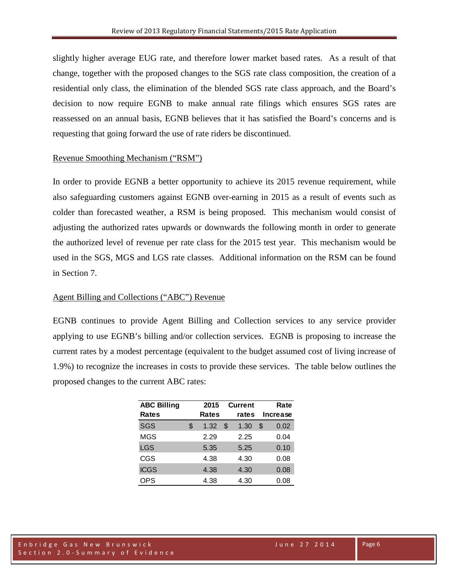slightly higher average EUG rate, and therefore lower market based rates. As a result of that change, together with the proposed changes to the SGS rate class composition, the creation of a residential only class, the elimination of the blended SGS rate class approach, and the Board's decision to now require EGNB to make annual rate filings which ensures SGS rates are reassessed on an annual basis, EGNB believes that it has satisfied the Board's concerns and is requesting that going forward the use of rate riders be discontinued.

# Revenue Smoothing Mechanism ("RSM")

In order to provide EGNB a better opportunity to achieve its 2015 revenue requirement, while also safeguarding customers against EGNB over-earning in 2015 as a result of events such as colder than forecasted weather, a RSM is being proposed. This mechanism would consist of adjusting the authorized rates upwards or downwards the following month in order to generate the authorized level of revenue per rate class for the 2015 test year. This mechanism would be used in the SGS, MGS and LGS rate classes. Additional information on the RSM can be found in Section 7.

#### Agent Billing and Collections ("ABC") Revenue

EGNB continues to provide Agent Billing and Collection services to any service provider applying to use EGNB's billing and/or collection services. EGNB is proposing to increase the current rates by a modest percentage (equivalent to the budget assumed cost of living increase of 1.9%) to recognize the increases in costs to provide these services. The table below outlines the proposed changes to the current ABC rates:

| <b>ABC Billing</b><br><b>Rates</b> | 2015<br>Rates |   | <b>Current</b><br>rates | Rate<br>Increase |      |
|------------------------------------|---------------|---|-------------------------|------------------|------|
| SGS                                | \$<br>1.32    | S | 1.30                    | S                | 0.02 |
| <b>MGS</b>                         | 2.29          |   | 2.25                    |                  | 0.04 |
| <b>LGS</b>                         | 5.35          |   | 5.25                    |                  | 0.10 |
| <b>CGS</b>                         | 4.38          |   | 4.30                    |                  | 0.08 |
| <b>ICGS</b>                        | 4.38          |   | 4.30                    |                  | 0.08 |
| <b>OPS</b>                         | 4.38          |   | 4.30                    |                  | 0.08 |